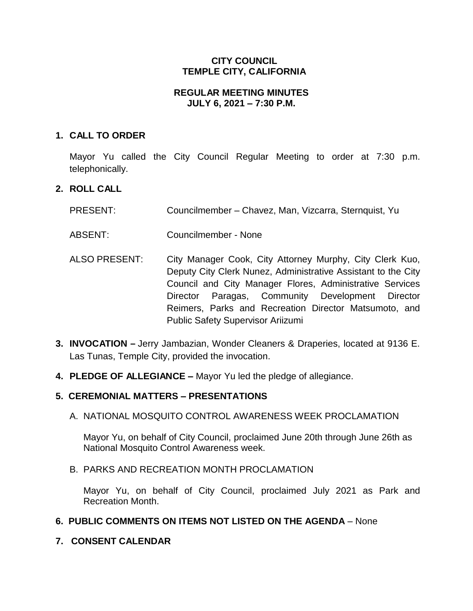# **CITY COUNCIL TEMPLE CITY, CALIFORNIA**

### **REGULAR MEETING MINUTES JULY 6, 2021 – 7:30 P.M.**

# **1. CALL TO ORDER**

Mayor Yu called the City Council Regular Meeting to order at 7:30 p.m. telephonically.

# **2. ROLL CALL**

- PRESENT: Councilmember Chavez, Man, Vizcarra, Sternquist, Yu
- ABSENT: Councilmember None
- ALSO PRESENT: City Manager Cook, City Attorney Murphy, City Clerk Kuo, Deputy City Clerk Nunez, Administrative Assistant to the City Council and City Manager Flores, Administrative Services Director Paragas, Community Development Director Reimers, Parks and Recreation Director Matsumoto, and Public Safety Supervisor Ariizumi
- **3. INVOCATION –** Jerry Jambazian, Wonder Cleaners & Draperies, located at 9136 E. Las Tunas, Temple City, provided the invocation.
- **4. PLEDGE OF ALLEGIANCE –** Mayor Yu led the pledge of allegiance.

# **5. CEREMONIAL MATTERS – PRESENTATIONS**

A. NATIONAL MOSQUITO CONTROL AWARENESS WEEK PROCLAMATION

Mayor Yu, on behalf of City Council, proclaimed June 20th through June 26th as National Mosquito Control Awareness week.

### B. PARKS AND RECREATION MONTH PROCLAMATION

Mayor Yu, on behalf of City Council, proclaimed July 2021 as Park and Recreation Month.

### **6. PUBLIC COMMENTS ON ITEMS NOT LISTED ON THE AGENDA** – None

**7. CONSENT CALENDAR**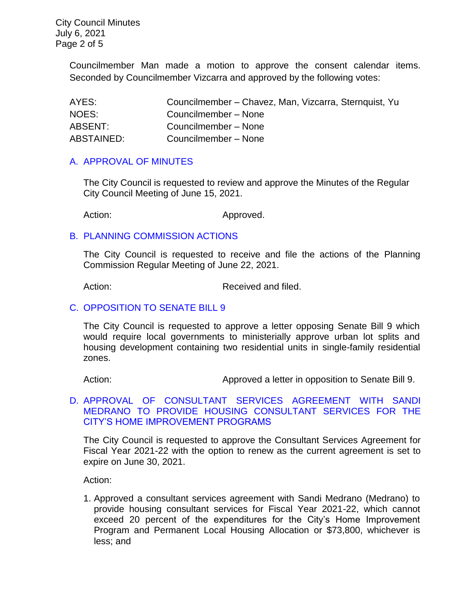City Council Minutes July 6, 2021 Page 2 of 5

> Councilmember Man made a motion to approve the consent calendar items. Seconded by Councilmember Vizcarra and approved by the following votes:

| AYES:      | Councilmember – Chavez, Man, Vizcarra, Sternquist, Yu |
|------------|-------------------------------------------------------|
| NOES:      | Councilmember - None                                  |
| ABSENT:    | Councilmember - None                                  |
| ABSTAINED: | Councilmember - None                                  |

#### [A. APPROVAL OF MINUTES](https://www.ci.temple-city.ca.us/DocumentCenter/View/16462/7A_CCM-2021-06-15)

The City Council is requested to review and approve the Minutes of the Regular City Council Meeting of June 15, 2021.

Action: Approved.

#### B. PLANNING [COMMISSION ACTIONS](https://www.ci.temple-city.ca.us/DocumentCenter/View/16463/7B_PC-Actions_-2021-6-22_v2)

The City Council is requested to receive and file the actions of the Planning Commission Regular Meeting of June 22, 2021.

Action: Received and filed.

### C. [OPPOSITION TO SENATE BILL 9](https://www.ci.temple-city.ca.us/DocumentCenter/View/16464/7C_Opposition-to-SB-9_Staff-Report_v4-w-attachment)

The City Council is requested to approve a letter opposing Senate Bill 9 which would require local governments to ministerially approve urban lot splits and housing development containing two residential units in single-family residential zones.

Action: Approved a letter in opposition to Senate Bill 9.

### D. [APPROVAL OF CONSULTANT SERVICES AGREEMENT WITH SANDI](https://www.ci.temple-city.ca.us/DocumentCenter/View/16465/7D_CDBG-Housing-Consultant_Staff-Report_2021_v2-attachments)  [MEDRANO TO PROVIDE HOUSING CONSULTANT SERVICES FOR THE](https://www.ci.temple-city.ca.us/DocumentCenter/View/16465/7D_CDBG-Housing-Consultant_Staff-Report_2021_v2-attachments)  [CITY'S HOME IMPROVEMENT PROGRAMS](https://www.ci.temple-city.ca.us/DocumentCenter/View/16465/7D_CDBG-Housing-Consultant_Staff-Report_2021_v2-attachments)

The City Council is requested to approve the Consultant Services Agreement for Fiscal Year 2021-22 with the option to renew as the current agreement is set to expire on June 30, 2021.

Action:

1. Approved a consultant services agreement with Sandi Medrano (Medrano) to provide housing consultant services for Fiscal Year 2021-22, which cannot exceed 20 percent of the expenditures for the City's Home Improvement Program and Permanent Local Housing Allocation or \$73,800, whichever is less; and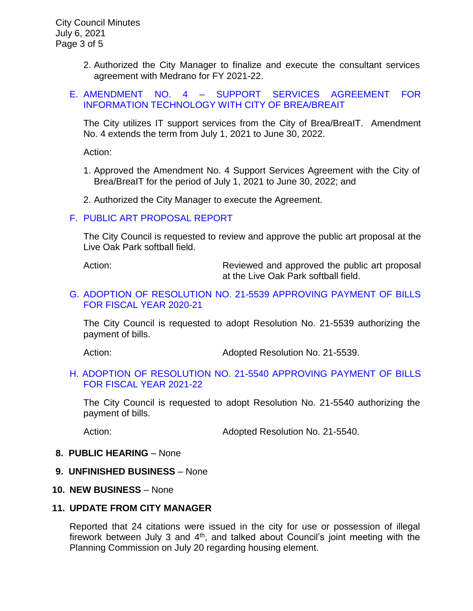- 2. Authorized the City Manager to finalize and execute the consultant services agreement with Medrano for FY 2021-22.
- E. AMENDMENT NO. 4 [SUPPORT SERVICES AGREEMENT FOR](https://www.ci.temple-city.ca.us/DocumentCenter/View/16466/7E_BreaIT_Staff-Report-FY-2021-22)  [INFORMATION TECHNOLOGY WITH CITY OF BREA/BREAIT](https://www.ci.temple-city.ca.us/DocumentCenter/View/16466/7E_BreaIT_Staff-Report-FY-2021-22)

The City utilizes IT support services from the City of Brea/BreaIT. Amendment No. 4 extends the term from July 1, 2021 to June 30, 2022.

Action:

- 1. Approved the Amendment No. 4 Support Services Agreement with the City of Brea/BreaIT for the period of July 1, 2021 to June 30, 2022; and
- 2. Authorized the City Manager to execute the Agreement.

#### F. [PUBLIC ART PROPOSAL REPORT](https://www.ci.temple-city.ca.us/DocumentCenter/View/16467/7F_Public-Art-Proposal_Staff-Report_v2-w-attachment)

The City Council is requested to review and approve the public art proposal at the Live Oak Park softball field.

Action: Reviewed and approved the public art proposal at the Live Oak Park softball field.

### G. [ADOPTION OF RESOLUTION NO. 21-5539 APPROVING PAYMENT OF BILLS](https://www.ci.temple-city.ca.us/DocumentCenter/View/16468/7G_CC-Warrant_Reso-21-5539_FY-2021-21_w-attachment)  [FOR FISCAL YEAR 2020-21](https://www.ci.temple-city.ca.us/DocumentCenter/View/16468/7G_CC-Warrant_Reso-21-5539_FY-2021-21_w-attachment)

The City Council is requested to adopt Resolution No. 21-5539 authorizing the payment of bills.

Action: Adopted Resolution No. 21-5539.

#### [H. ADOPTION OF RESOLUTION NO. 21-5540 APPROVING PAYMENT OF BILLS](https://www.ci.temple-city.ca.us/DocumentCenter/View/16469/7H_CC-Warrant_Reso-21-5540_FY-2021-22-w-attachment)  [FOR FISCAL YEAR 2021-22](https://www.ci.temple-city.ca.us/DocumentCenter/View/16469/7H_CC-Warrant_Reso-21-5540_FY-2021-22-w-attachment)

The City Council is requested to adopt Resolution No. 21-5540 authorizing the payment of bills.

Action: Adopted Resolution No. 21-5540.

#### **8. PUBLIC HEARING** – None

**9. UNFINISHED BUSINESS** – None

#### **10. NEW BUSINESS** – None

#### **11. UPDATE FROM CITY MANAGER**

Reported that 24 citations were issued in the city for use or possession of illegal firework between July 3 and  $4<sup>th</sup>$ , and talked about Council's joint meeting with the Planning Commission on July 20 regarding housing element.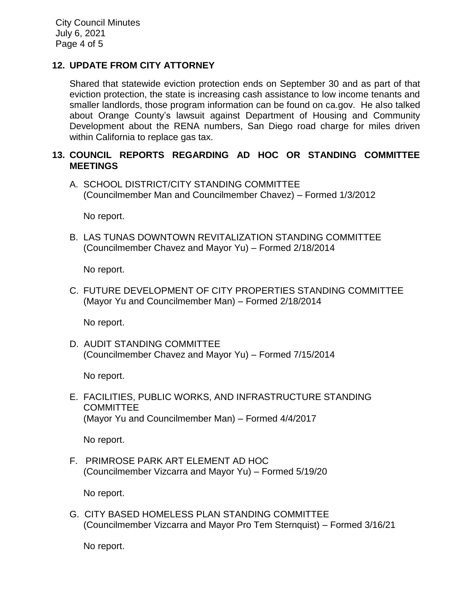# **12. UPDATE FROM CITY ATTORNEY**

Shared that statewide eviction protection ends on September 30 and as part of that eviction protection, the state is increasing cash assistance to low income tenants and smaller landlords, those program information can be found on ca.gov. He also talked about Orange County's lawsuit against Department of Housing and Community Development about the RENA numbers, San Diego road charge for miles driven within California to replace gas tax.

### **13. COUNCIL REPORTS REGARDING AD HOC OR STANDING COMMITTEE MEETINGS**

A. SCHOOL DISTRICT/CITY STANDING COMMITTEE (Councilmember Man and Councilmember Chavez) – Formed 1/3/2012

No report.

B. LAS TUNAS DOWNTOWN REVITALIZATION STANDING COMMITTEE (Councilmember Chavez and Mayor Yu) – Formed 2/18/2014

No report.

C. FUTURE DEVELOPMENT OF CITY PROPERTIES STANDING COMMITTEE (Mayor Yu and Councilmember Man) – Formed 2/18/2014

No report.

D. AUDIT STANDING COMMITTEE (Councilmember Chavez and Mayor Yu) – Formed 7/15/2014

No report.

E. FACILITIES, PUBLIC WORKS, AND INFRASTRUCTURE STANDING COMMITTEE (Mayor Yu and Councilmember Man) – Formed 4/4/2017

No report.

F. PRIMROSE PARK ART ELEMENT AD HOC (Councilmember Vizcarra and Mayor Yu) – Formed 5/19/20

No report.

G. CITY BASED HOMELESS PLAN STANDING COMMITTEE (Councilmember Vizcarra and Mayor Pro Tem Sternquist) – Formed 3/16/21

No report.